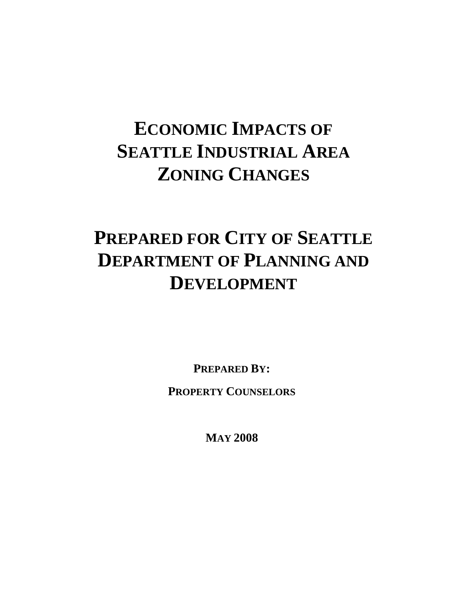# **ECONOMIC IMPACTS OF SEATTLE INDUSTRIAL AREA ZONING CHANGES**

# **PREPARED FOR CITY OF SEATTLE DEPARTMENT OF PLANNING AND DEVELOPMENT**

**PREPARED BY:**

**PROPERTY COUNSELORS**

**MAY 2008**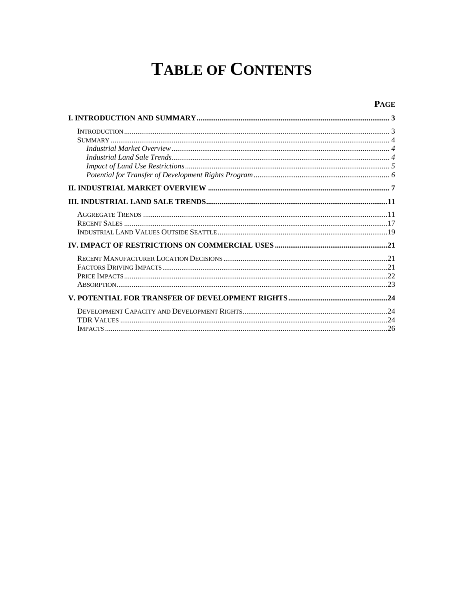# **TABLE OF CONTENTS**

#### **PAGE**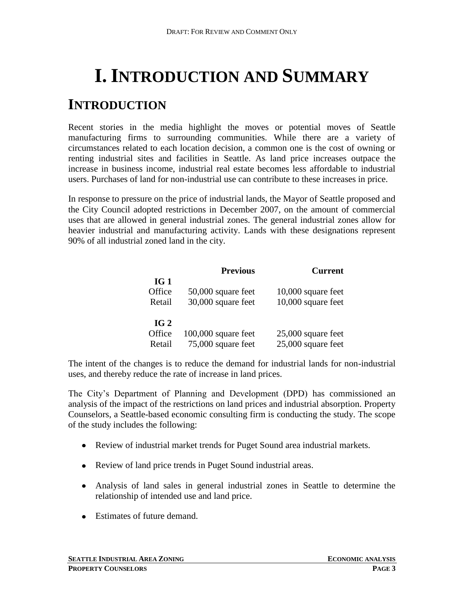# <span id="page-2-0"></span>**I. INTRODUCTION AND SUMMARY**

## <span id="page-2-1"></span>**INTRODUCTION**

Recent stories in the media highlight the moves or potential moves of Seattle manufacturing firms to surrounding communities. While there are a variety of circumstances related to each location decision, a common one is the cost of owning or renting industrial sites and facilities in Seattle. As land price increases outpace the increase in business income, industrial real estate becomes less affordable to industrial users. Purchases of land for non-industrial use can contribute to these increases in price.

In response to pressure on the price of industrial lands, the Mayor of Seattle proposed and the City Council adopted restrictions in December 2007, on the amount of commercial uses that are allowed in general industrial zones. The general industrial zones allow for heavier industrial and manufacturing activity. Lands with these designations represent 90% of all industrial zoned land in the city.

|                 | <b>Previous</b>       | <b>Current</b>     |
|-----------------|-----------------------|--------------------|
| IG <sub>1</sub> |                       |                    |
| Office          | 50,000 square feet    | 10,000 square feet |
| Retail          | 30,000 square feet    | 10,000 square feet |
| IG2             |                       |                    |
| Office          | $100,000$ square feet | 25,000 square feet |
| Retail          | 75,000 square feet    | 25,000 square feet |

The intent of the changes is to reduce the demand for industrial lands for non-industrial uses, and thereby reduce the rate of increase in land prices.

The City's Department of Planning and Development (DPD) has commissioned an analysis of the impact of the restrictions on land prices and industrial absorption. Property Counselors, a Seattle-based economic consulting firm is conducting the study. The scope of the study includes the following:

- Review of industrial market trends for Puget Sound area industrial markets.
- Review of land price trends in Puget Sound industrial areas.
- Analysis of land sales in general industrial zones in Seattle to determine the relationship of intended use and land price.
- Estimates of future demand.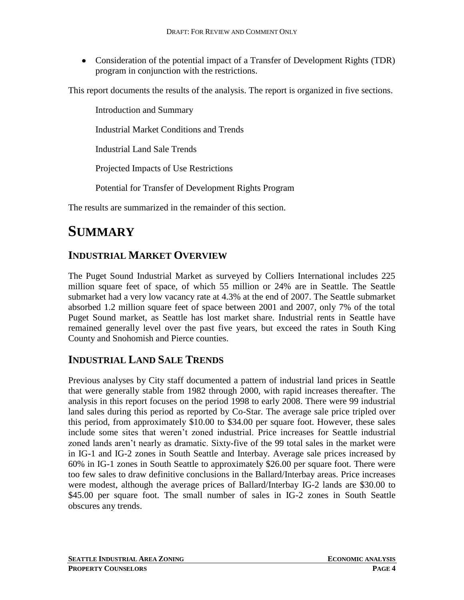Consideration of the potential impact of a Transfer of Development Rights (TDR) program in conjunction with the restrictions.

This report documents the results of the analysis. The report is organized in five sections.

Introduction and Summary Industrial Market Conditions and Trends Industrial Land Sale Trends Projected Impacts of Use Restrictions Potential for Transfer of Development Rights Program

<span id="page-3-0"></span>The results are summarized in the remainder of this section.

## **SUMMARY**

### <span id="page-3-1"></span>**INDUSTRIAL MARKET OVERVIEW**

The Puget Sound Industrial Market as surveyed by Colliers International includes 225 million square feet of space, of which 55 million or 24% are in Seattle. The Seattle submarket had a very low vacancy rate at 4.3% at the end of 2007. The Seattle submarket absorbed 1.2 million square feet of space between 2001 and 2007, only 7% of the total Puget Sound market, as Seattle has lost market share. Industrial rents in Seattle have remained generally level over the past five years, but exceed the rates in South King County and Snohomish and Pierce counties.

### <span id="page-3-2"></span>**INDUSTRIAL LAND SALE TRENDS**

Previous analyses by City staff documented a pattern of industrial land prices in Seattle that were generally stable from 1982 through 2000, with rapid increases thereafter. The analysis in this report focuses on the period 1998 to early 2008. There were 99 industrial land sales during this period as reported by Co-Star. The average sale price tripled over this period, from approximately \$10.00 to \$34.00 per square foot. However, these sales include some sites that weren't zoned industrial. Price increases for Seattle industrial zoned lands aren't nearly as dramatic. Sixty-five of the 99 total sales in the market were in IG-1 and IG-2 zones in South Seattle and Interbay. Average sale prices increased by 60% in IG-1 zones in South Seattle to approximately \$26.00 per square foot. There were too few sales to draw definitive conclusions in the Ballard/Interbay areas. Price increases were modest, although the average prices of Ballard/Interbay IG-2 lands are \$30.00 to \$45.00 per square foot. The small number of sales in IG-2 zones in South Seattle obscures any trends.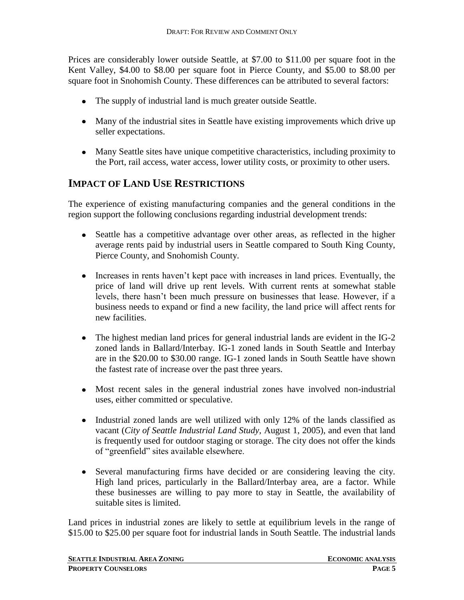Prices are considerably lower outside Seattle, at \$7.00 to \$11.00 per square foot in the Kent Valley, \$4.00 to \$8.00 per square foot in Pierce County, and \$5.00 to \$8.00 per square foot in Snohomish County. These differences can be attributed to several factors:

- The supply of industrial land is much greater outside Seattle.
- Many of the industrial sites in Seattle have existing improvements which drive up seller expectations.
- Many Seattle sites have unique competitive characteristics, including proximity to the Port, rail access, water access, lower utility costs, or proximity to other users.

### <span id="page-4-0"></span>**IMPACT OF LAND USE RESTRICTIONS**

The experience of existing manufacturing companies and the general conditions in the region support the following conclusions regarding industrial development trends:

- Seattle has a competitive advantage over other areas, as reflected in the higher average rents paid by industrial users in Seattle compared to South King County, Pierce County, and Snohomish County.
- Increases in rents haven't kept pace with increases in land prices. Eventually, the price of land will drive up rent levels. With current rents at somewhat stable levels, there hasn't been much pressure on businesses that lease. However, if a business needs to expand or find a new facility, the land price will affect rents for new facilities.
- The highest median land prices for general industrial lands are evident in the IG-2 zoned lands in Ballard/Interbay. IG-1 zoned lands in South Seattle and Interbay are in the \$20.00 to \$30.00 range. IG-1 zoned lands in South Seattle have shown the fastest rate of increase over the past three years.
- Most recent sales in the general industrial zones have involved non-industrial uses, either committed or speculative.
- Industrial zoned lands are well utilized with only 12% of the lands classified as vacant (*City of Seattle Industrial Land Study,* August 1, 2005), and even that land is frequently used for outdoor staging or storage. The city does not offer the kinds of "greenfield" sites available elsewhere.
- Several manufacturing firms have decided or are considering leaving the city. High land prices, particularly in the Ballard/Interbay area, are a factor. While these businesses are willing to pay more to stay in Seattle, the availability of suitable sites is limited.

Land prices in industrial zones are likely to settle at equilibrium levels in the range of \$15.00 to \$25.00 per square foot for industrial lands in South Seattle. The industrial lands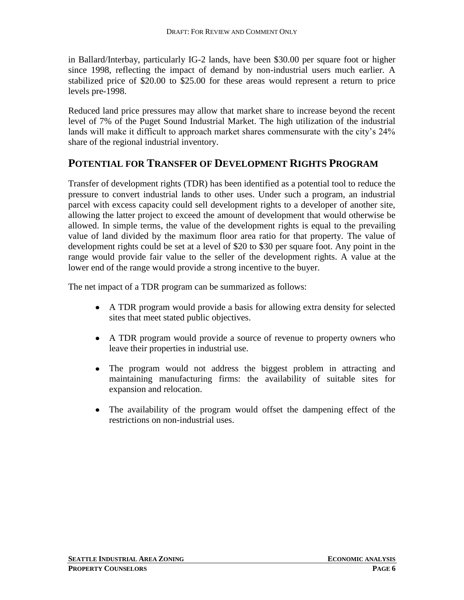in Ballard/Interbay, particularly IG-2 lands, have been \$30.00 per square foot or higher since 1998, reflecting the impact of demand by non-industrial users much earlier. A stabilized price of \$20.00 to \$25.00 for these areas would represent a return to price levels pre-1998.

Reduced land price pressures may allow that market share to increase beyond the recent level of 7% of the Puget Sound Industrial Market. The high utilization of the industrial lands will make it difficult to approach market shares commensurate with the city's 24% share of the regional industrial inventory.

#### <span id="page-5-0"></span>**POTENTIAL FOR TRANSFER OF DEVELOPMENT RIGHTS PROGRAM**

Transfer of development rights (TDR) has been identified as a potential tool to reduce the pressure to convert industrial lands to other uses. Under such a program, an industrial parcel with excess capacity could sell development rights to a developer of another site, allowing the latter project to exceed the amount of development that would otherwise be allowed. In simple terms, the value of the development rights is equal to the prevailing value of land divided by the maximum floor area ratio for that property. The value of development rights could be set at a level of \$20 to \$30 per square foot. Any point in the range would provide fair value to the seller of the development rights. A value at the lower end of the range would provide a strong incentive to the buyer.

The net impact of a TDR program can be summarized as follows:

- A TDR program would provide a basis for allowing extra density for selected sites that meet stated public objectives.
- A TDR program would provide a source of revenue to property owners who leave their properties in industrial use.
- $\bullet$ The program would not address the biggest problem in attracting and maintaining manufacturing firms: the availability of suitable sites for expansion and relocation.
- The availability of the program would offset the dampening effect of the  $\bullet$ restrictions on non-industrial uses.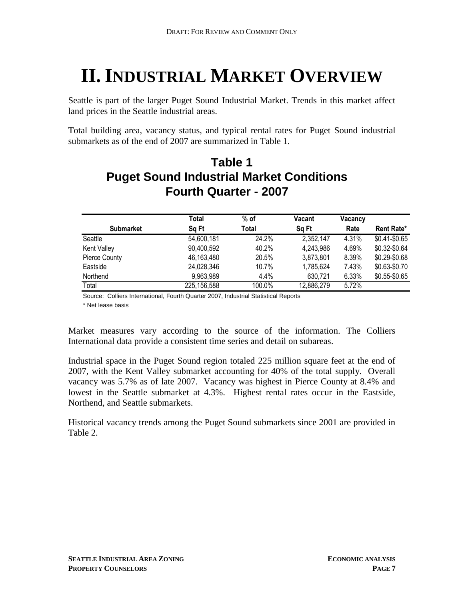# <span id="page-6-0"></span>**II. INDUSTRIAL MARKET OVERVIEW**

Seattle is part of the larger Puget Sound Industrial Market. Trends in this market affect land prices in the Seattle industrial areas.

Total building area, vacancy status, and typical rental rates for Puget Sound industrial submarkets as of the end of 2007 are summarized in Table 1.

### **Puget Sound Industrial Market Conditions Fourth Quarter - 2007 Table 1**

|                      | Total       | $%$ of   | Vacant     | Vacancy |                 |
|----------------------|-------------|----------|------------|---------|-----------------|
| <b>Submarket</b>     | Sq Ft       | Total    | Sq Ft      | Rate    | Rent Rate*      |
| Seattle              | 54,600,181  | 24.2%    | 2,352,147  | 4.31%   | $$0.41 - $0.65$ |
| Kent Valley          | 90,400,592  | 40.2%    | 4,243,986  | 4.69%   | \$0.32-\$0.64   |
| <b>Pierce County</b> | 46,163,480  | 20.5%    | 3,873,801  | 8.39%   | $$0.29 - $0.68$ |
| Eastside             | 24,028,346  | $10.7\%$ | 1,785,624  | 7.43%   | \$0.63-\$0.70   |
| Northend             | 9,963,989   | 4.4%     | 630,721    | 6.33%   | \$0.55-\$0.65   |
| Total                | 225,156,588 | 100.0%   | 12,886,279 | 5.72%   |                 |

Source: Colliers International, Fourth Quarter 2007, Industrial Statistical Reports

\* Net lease basis

Market measures vary according to the source of the information. The Colliers International data provide a consistent time series and detail on subareas.

Industrial space in the Puget Sound region totaled 225 million square feet at the end of 2007, with the Kent Valley submarket accounting for 40% of the total supply. Overall vacancy was 5.7% as of late 2007. Vacancy was highest in Pierce County at 8.4% and lowest in the Seattle submarket at 4.3%. Highest rental rates occur in the Eastside, Northend, and Seattle submarkets.

Historical vacancy trends among the Puget Sound submarkets since 2001 are provided in Table 2.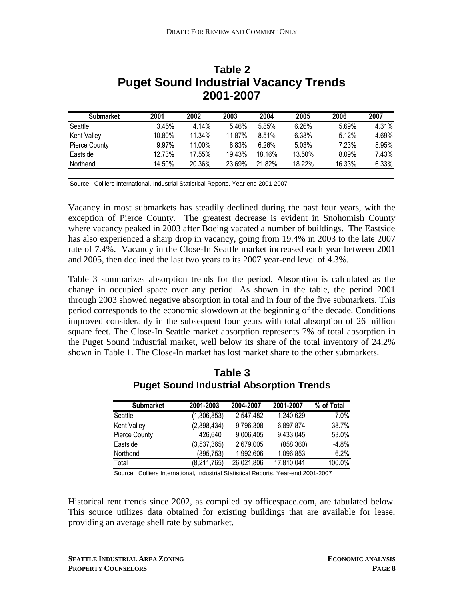| <b>Submarket</b>     | 2001   | 2002   | 2003   | 2004   | 2005   | 2006   | 2007  |
|----------------------|--------|--------|--------|--------|--------|--------|-------|
| Seattle              | 3.45%  | 4.14%  | 5.46%  | 5.85%  | 6.26%  | 5.69%  | 4.31% |
| Kent Valley          | 10.80% | 11.34% | 11.87% | 8.51%  | 6.38%  | 5.12%  | 4.69% |
| <b>Pierce County</b> | 9.97%  | 11.00% | 8.83%  | 6.26%  | 5.03%  | 7.23%  | 8.95% |
| Eastside             | 12.73% | 17.55% | 19.43% | 18.16% | 13.50% | 8.09%  | 7.43% |
| Northend             | 14.50% | 20.36% | 23.69% | 21.82% | 18.22% | 16.33% | 6.33% |

### **Puget Sound Industrial Vacancy Trends 2001-2007 Table 2**

Source: Colliers International, Industrial Statistical Reports, Year-end 2001-2007

Vacancy in most submarkets has steadily declined during the past four years, with the exception of Pierce County. The greatest decrease is evident in Snohomish County where vacancy peaked in 2003 after Boeing vacated a number of buildings. The Eastside has also experienced a sharp drop in vacancy, going from 19.4% in 2003 to the late 2007 rate of 7.4%. Vacancy in the Close-In Seattle market increased each year between 2001 and 2005, then declined the last two years to its 2007 year-end level of 4.3%.

Table 3 summarizes absorption trends for the period. Absorption is calculated as the change in occupied space over any period. As shown in the table, the period 2001 through 2003 showed negative absorption in total and in four of the five submarkets. This period corresponds to the economic slowdown at the beginning of the decade. Conditions improved considerably in the subsequent four years with total absorption of 26 million square feet. The Close-In Seattle market absorption represents 7% of total absorption in the Puget Sound industrial market, well below its share of the total inventory of 24.2% shown in Table 1. The Close-In market has lost market share to the other submarkets.

| <b>Submarket</b>   | 2001-2003   | 2004-2007  | 2001-2007  | % of Total |
|--------------------|-------------|------------|------------|------------|
| Seattle            | (1,306,853) | 2,547,482  | 1,240,629  | 7.0%       |
| <b>Kent Valley</b> | (2,898,434) | 9,796,308  | 6,897,874  | 38.7%      |
| Pierce County      | 426,640     | 9,006,405  | 9,433,045  | 53.0%      |
| Eastside           | (3,537,365) | 2,679,005  | (858, 360) | $-4.8%$    |
| Northend           | (895, 753)  | 1,992,606  | 1,096,853  | 6.2%       |
| Total              | (8,211,765) | 26,021,806 | 17,810,041 | 100.0%     |

#### **Puget Sound Industrial Absorption Trends Table 3**

Source: Colliers International, Industrial Statistical Reports, Year-end 2001-2007

Historical rent trends since 2002, as compiled by officespace.com, are tabulated below. This source utilizes data obtained for existing buildings that are available for lease, providing an average shell rate by submarket.

**SEATTLE INDUSTRIAL AREA ZONING ECONOMIC ANALYSIS**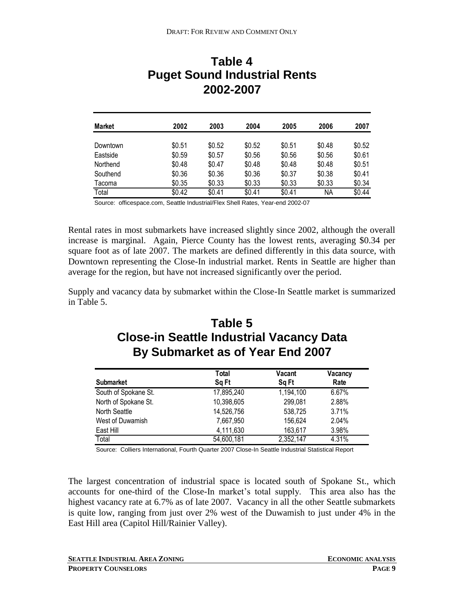### **Puget Sound Industrial Rents 2002-2007 Table 4**

| <b>Market</b> | 2002   | 2003   | 2004   | 2005   | 2006   | 2007   |
|---------------|--------|--------|--------|--------|--------|--------|
| Downtown      | \$0.51 | \$0.52 | \$0.52 | \$0.51 | \$0.48 | \$0.52 |
| Eastside      | \$0.59 | \$0.57 | \$0.56 | \$0.56 | \$0.56 | \$0.61 |
| Northend      | \$0.48 | \$0.47 | \$0.48 | \$0.48 | \$0.48 | \$0.51 |
| Southend      | \$0.36 | \$0.36 | \$0.36 | \$0.37 | \$0.38 | \$0.41 |
| Tacoma        | \$0.35 | \$0.33 | \$0.33 | \$0.33 | \$0.33 | \$0.34 |
| Total         | \$0.42 | \$0.41 | \$0.41 | \$0.41 | ΝA     | \$0.44 |

Source: officespace.com, Seattle Industrial/Flex Shell Rates, Year-end 2002-07

Rental rates in most submarkets have increased slightly since 2002, although the overall increase is marginal. Again, Pierce County has the lowest rents, averaging \$0.34 per square foot as of late 2007. The markets are defined differently in this data source, with Downtown representing the Close-In industrial market. Rents in Seattle are higher than average for the region, but have not increased significantly over the period.

Supply and vacancy data by submarket within the Close-In Seattle market is summarized in Table 5.

### **Close-in Seattle Industrial Vacancy Data By Submarket as of Year End 2007 Table 5**

|                      | Total      | <b>Vacant</b> | Vacancy |
|----------------------|------------|---------------|---------|
| <b>Submarket</b>     | Sq Ft      | Sq Ft         | Rate    |
| South of Spokane St. | 17,895,240 | 1,194,100     | 6.67%   |
| North of Spokane St. | 10,398,605 | 299,081       | 2.88%   |
| North Seattle        | 14,526,756 | 538,725       | 3.71%   |
| West of Duwamish     | 7,667,950  | 156,624       | 2.04%   |
| East Hill            | 4,111,630  | 163,617       | 3.98%   |
| Total                | 54,600,181 | 2,352,147     | 4.31%   |

Source: Colliers International, Fourth Quarter 2007 Close-In Seattle Industrial Statistical Report

The largest concentration of industrial space is located south of Spokane St., which accounts for one-third of the Close-In market's total supply. This area also has the highest vacancy rate at 6.7% as of late 2007. Vacancy in all the other Seattle submarkets is quite low, ranging from just over 2% west of the Duwamish to just under 4% in the East Hill area (Capitol Hill/Rainier Valley).

**SEATTLE INDUSTRIAL AREA ZONING ECONOMIC ANALYSIS**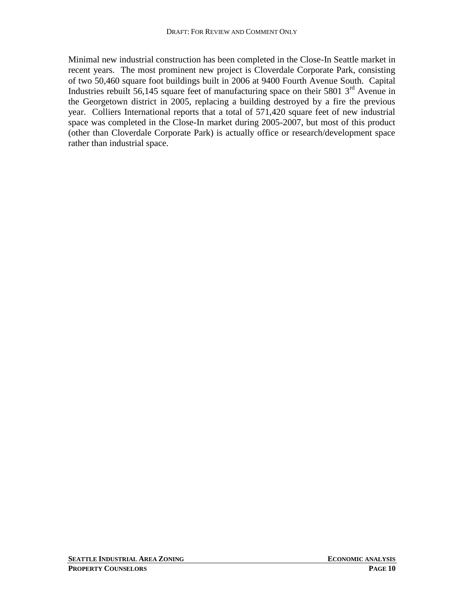Minimal new industrial construction has been completed in the Close-In Seattle market in recent years. The most prominent new project is Cloverdale Corporate Park, consisting of two 50,460 square foot buildings built in 2006 at 9400 Fourth Avenue South. Capital Industries rebuilt 56,145 square feet of manufacturing space on their 5801  $3<sup>rd</sup>$  Avenue in the Georgetown district in 2005, replacing a building destroyed by a fire the previous year. Colliers International reports that a total of 571,420 square feet of new industrial space was completed in the Close-In market during 2005-2007, but most of this product (other than Cloverdale Corporate Park) is actually office or research/development space rather than industrial space.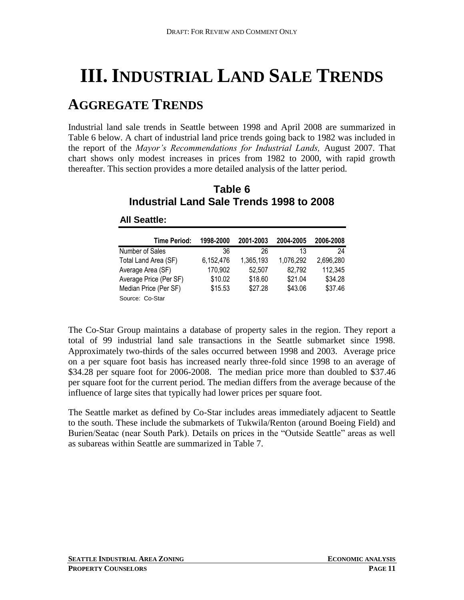# <span id="page-10-0"></span>**III. INDUSTRIAL LAND SALE TRENDS**

## <span id="page-10-1"></span>**AGGREGATE TRENDS**

Industrial land sale trends in Seattle between 1998 and April 2008 are summarized in Table 6 below. A chart of industrial land price trends going back to 1982 was included in the report of the *Mayor's Recommendations for Industrial Lands,* August 2007. That chart shows only modest increases in prices from 1982 to 2000, with rapid growth thereafter. This section provides a more detailed analysis of the latter period.

| Table 6                                  |  |  |  |  |  |
|------------------------------------------|--|--|--|--|--|
| Industrial Land Sale Trends 1998 to 2008 |  |  |  |  |  |

| <b>Time Period:</b>    | 1998-2000 | 2001-2003 | 2004-2005 | 2006-2008 |
|------------------------|-----------|-----------|-----------|-----------|
| Number of Sales        | 36        | 26        | 13        | 24        |
| Total Land Area (SF)   | 6,152,476 | 1,365,193 | 1,076,292 | 2,696,280 |
| Average Area (SF)      | 170,902   | 52,507    | 82,792    | 112,345   |
| Average Price (Per SF) | \$10.02   | \$18.60   | \$21.04   | \$34.28   |
| Median Price (Per SF)  | \$15.53   | \$27.28   | \$43.06   | \$37.46   |
| Source: Co-Star        |           |           |           |           |

#### **All Seattle:**

The Co-Star Group maintains a database of property sales in the region. They report a total of 99 industrial land sale transactions in the Seattle submarket since 1998. Approximately two-thirds of the sales occurred between 1998 and 2003. Average price on a per square foot basis has increased nearly three-fold since 1998 to an average of \$34.28 per square foot for 2006-2008. The median price more than doubled to \$37.46 per square foot for the current period. The median differs from the average because of the influence of large sites that typically had lower prices per square foot.

The Seattle market as defined by Co-Star includes areas immediately adjacent to Seattle to the south. These include the submarkets of Tukwila/Renton (around Boeing Field) and Burien/Seatac (near South Park). Details on prices in the "Outside Seattle" areas as well as subareas within Seattle are summarized in Table 7.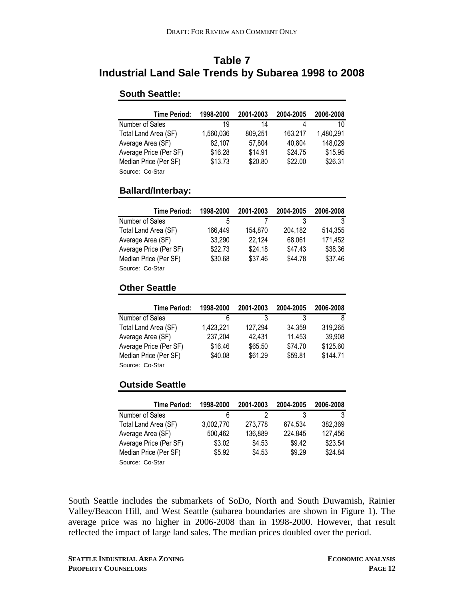### **Table 7 Industrial Land Sale Trends by Subarea 1998 to 2008**

#### **South Seattle:**

| Time Period:           | 1998-2000 | 2001-2003 | 2004-2005 | 2006-2008 |
|------------------------|-----------|-----------|-----------|-----------|
| Number of Sales        | 19        | 14        | 4         | 10        |
| Total Land Area (SF)   | 1,560,036 | 809,251   | 163,217   | 1,480,291 |
| Average Area (SF)      | 82,107    | 57,804    | 40,804    | 148,029   |
| Average Price (Per SF) | \$16.28   | \$14.91   | \$24.75   | \$15.95   |
| Median Price (Per SF)  | \$13.73   | \$20.80   | \$22.00   | \$26.31   |
| Source: Co-Star        |           |           |           |           |

#### **Ballard/Interbay:**

| <b>Time Period:</b>    | 1998-2000 | 2001-2003 | 2004-2005 | 2006-2008 |
|------------------------|-----------|-----------|-----------|-----------|
| Number of Sales        | 5         |           |           |           |
| Total Land Area (SF)   | 166.449   | 154,870   | 204.182   | 514.355   |
| Average Area (SF)      | 33,290    | 22,124    | 68,061    | 171,452   |
| Average Price (Per SF) | \$22.73   | \$24.18   | \$47.43   | \$38.36   |
| Median Price (Per SF)  | \$30.68   | \$37.46   | \$44.78   | \$37.46   |
| Source: Co-Star        |           |           |           |           |

#### **Other Seattle**

| <b>Time Period:</b>    | 1998-2000 | 2001-2003 | 2004-2005 | 2006-2008 |
|------------------------|-----------|-----------|-----------|-----------|
| Number of Sales        | 6         | 3         |           | 8         |
| Total Land Area (SF)   | 1,423,221 | 127,294   | 34.359    | 319,265   |
| Average Area (SF)      | 237,204   | 42,431    | 11,453    | 39,908    |
| Average Price (Per SF) | \$16.46   | \$65.50   | \$74.70   | \$125.60  |
| Median Price (Per SF)  | \$40.08   | \$61.29   | \$59.81   | \$144.71  |
| Source: Co-Star        |           |           |           |           |

#### **Outside Seattle**

| <b>Time Period:</b>    | 1998-2000 | 2001-2003 | 2004-2005 | 2006-2008 |
|------------------------|-----------|-----------|-----------|-----------|
| Number of Sales        | 6         |           |           |           |
| Total Land Area (SF)   | 3,002,770 | 273,778   | 674.534   | 382,369   |
| Average Area (SF)      | 500,462   | 136,889   | 224,845   | 127,456   |
| Average Price (Per SF) | \$3.02    | \$4.53    | \$9.42    | \$23.54   |
| Median Price (Per SF)  | \$5.92    | \$4.53    | \$9.29    | \$24.84   |
| Source: Co-Star        |           |           |           |           |

South Seattle includes the submarkets of SoDo, North and South Duwamish, Rainier Valley/Beacon Hill, and West Seattle (subarea boundaries are shown in Figure 1). The average price was no higher in 2006-2008 than in 1998-2000. However, that result reflected the impact of large land sales. The median prices doubled over the period.

**SEATTLE INDUSTRIAL AREA ZONING ECONOMIC ANALYSIS PROPERTY COUNSELORS PAGE 12**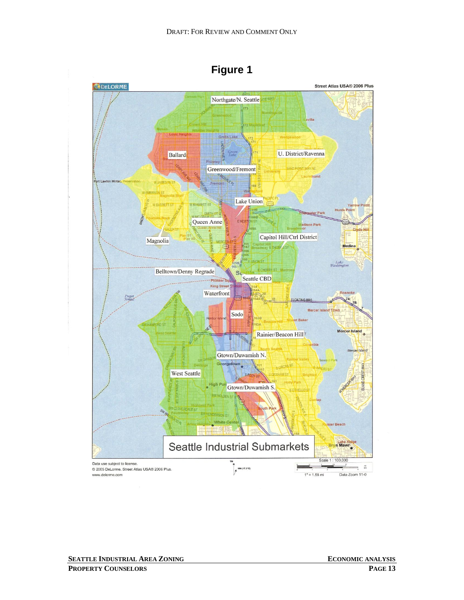

**Figure 1**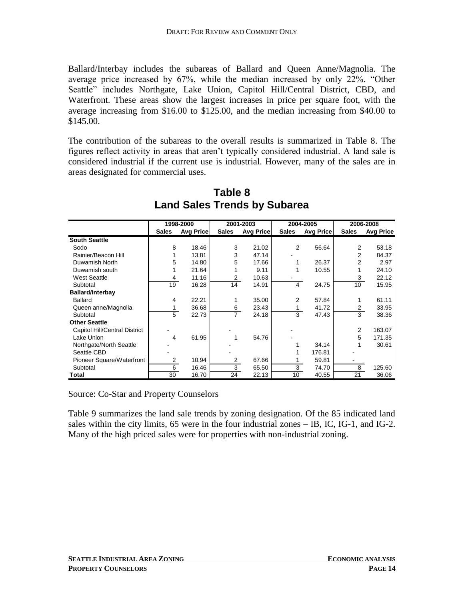Ballard/Interbay includes the subareas of Ballard and Queen Anne/Magnolia. The average price increased by 67%, while the median increased by only 22%. "Other Seattle" includes Northgate, Lake Union, Capitol Hill/Central District, CBD, and Waterfront. These areas show the largest increases in price per square foot, with the average increasing from \$16.00 to \$125.00, and the median increasing from \$40.00 to \$145.00.

The contribution of the subareas to the overall results is summarized in Table 8. The figures reflect activity in areas that aren't typically considered industrial. A land sale is considered industrial if the current use is industrial. However, many of the sales are in areas designated for commercial uses.

|                               |                | 1998-2000        |                | 2001-2003        |              | 2004-2005        | 2006-2008       |                  |
|-------------------------------|----------------|------------------|----------------|------------------|--------------|------------------|-----------------|------------------|
|                               | <b>Sales</b>   | <b>Avg Price</b> | <b>Sales</b>   | <b>Avg Price</b> | <b>Sales</b> | <b>Avg Price</b> | <b>Sales</b>    | <b>Avg Price</b> |
| <b>South Seattle</b>          |                |                  |                |                  |              |                  |                 |                  |
| Sodo                          | 8              | 18.46            | 3              | 21.02            | 2            | 56.64            | 2               | 53.18            |
| Rainier/Beacon Hill           |                | 13.81            | 3              | 47.14            |              |                  | 2               | 84.37            |
| Duwamish North                | 5              | 14.80            | 5              | 17.66            |              | 26.37            | 2               | 2.97             |
| Duwamish south                |                | 21.64            |                | 9.11             |              | 10.55            |                 | 24.10            |
| <b>West Seattle</b>           | 4              | 11.16            | 2              | 10.63            |              |                  | 3               | 22.12            |
| Subtotal                      | 19             | 16.28            | 14             | 14.91            | 4            | 24.75            | 10 <sup>1</sup> | 15.95            |
| <b>Ballard/Interbay</b>       |                |                  |                |                  |              |                  |                 |                  |
| <b>Ballard</b>                | 4              | 22.21            |                | 35.00            | 2            | 57.84            |                 | 61.11            |
| Queen anne/Magnolia           | 1              | 36.68            | 6              | 23.43            | 1            | 41.72            | 2               | 33.95            |
| Subtotal                      | 5              | 22.73            | $\overline{7}$ | 24.18            | 3            | 47.43            | 3               | 38.36            |
| <b>Other Seattle</b>          |                |                  |                |                  |              |                  |                 |                  |
| Capitol Hill/Central District |                |                  |                |                  |              |                  | 2               | 163.07           |
| Lake Union                    | 4              | 61.95            |                | 54.76            |              |                  | 5               | 171.35           |
| Northgate/North Seattle       |                |                  |                |                  |              | 34.14            |                 | 30.61            |
| Seattle CBD                   |                |                  |                |                  |              | 176.81           |                 |                  |
| Pioneer Square/Waterfront     | $\overline{2}$ | 10.94            | 2              | 67.66            |              | 59.81            |                 |                  |
| Subtotal                      | 6              | 16.46            | 3              | 65.50            | 3            | 74.70            | 8               | 125.60           |
| Total                         | 30             | 16.70            | 24             | 22.13            | 10           | 40.55            | 21              | 36.06            |

**Table 8 Land Sales Trends by Subarea**

Source: Co-Star and Property Counselors

Table 9 summarizes the land sale trends by zoning designation. Of the 85 indicated land sales within the city limits, 65 were in the four industrial zones – IB, IC, IG-1, and IG-2. Many of the high priced sales were for properties with non-industrial zoning.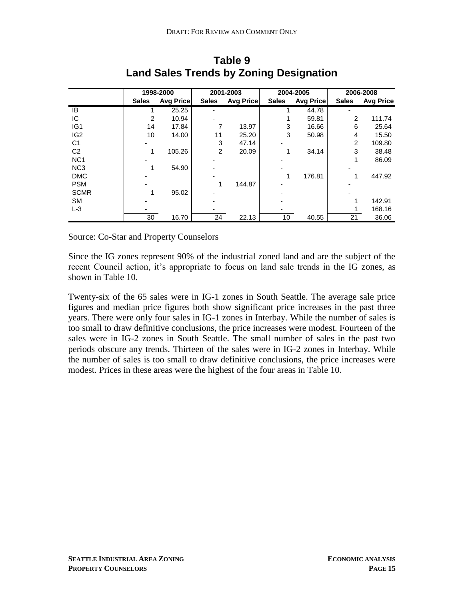|                 |              | 1998-2000<br>2001-2003<br>2004-2005 |              |                  | 2006-2008    |                  |                |                  |
|-----------------|--------------|-------------------------------------|--------------|------------------|--------------|------------------|----------------|------------------|
|                 | <b>Sales</b> | <b>Avg Price</b>                    | <b>Sales</b> | <b>Avg Price</b> | <b>Sales</b> | <b>Avg Price</b> | <b>Sales</b>   | <b>Avg Price</b> |
| IB              |              | 25.25                               |              |                  |              | 44.78            |                |                  |
| IC.             | 2            | 10.94                               |              |                  |              | 59.81            | 2              | 111.74           |
| IG <sub>1</sub> | 14           | 17.84                               |              | 13.97            | 3            | 16.66            | 6              | 25.64            |
| IG <sub>2</sub> | 10           | 14.00                               | 11           | 25.20            | 3            | 50.98            | 4              | 15.50            |
| C <sub>1</sub>  |              |                                     | 3            | 47.14            |              |                  | $\overline{2}$ | 109.80           |
| C <sub>2</sub>  |              | 105.26                              | 2            | 20.09            |              | 34.14            | 3              | 38.48            |
| NC <sub>1</sub> |              |                                     |              |                  |              |                  |                | 86.09            |
| NC <sub>3</sub> |              | 54.90                               |              |                  |              |                  |                |                  |
| <b>DMC</b>      |              |                                     |              |                  |              | 176.81           |                | 447.92           |
| <b>PSM</b>      |              |                                     |              | 144.87           |              |                  |                |                  |
| <b>SCMR</b>     |              | 95.02                               |              |                  |              |                  |                |                  |
| <b>SM</b>       |              |                                     |              |                  |              |                  |                | 142.91           |
| $L-3$           |              |                                     |              |                  |              |                  |                | 168.16           |
|                 | 30           | 16.70                               | 24           | 22.13            | 10           | 40.55            | 21             | 36.06            |

**Table 9 Land Sales Trends by Zoning Designation**

Source: Co-Star and Property Counselors

Since the IG zones represent 90% of the industrial zoned land and are the subject of the recent Council action, it's appropriate to focus on land sale trends in the IG zones, as shown in Table 10.

Twenty-six of the 65 sales were in IG-1 zones in South Seattle. The average sale price figures and median price figures both show significant price increases in the past three years. There were only four sales in IG-1 zones in Interbay. While the number of sales is too small to draw definitive conclusions, the price increases were modest. Fourteen of the sales were in IG-2 zones in South Seattle. The small number of sales in the past two periods obscure any trends. Thirteen of the sales were in IG-2 zones in Interbay. While the number of sales is too small to draw definitive conclusions, the price increases were modest. Prices in these areas were the highest of the four areas in Table 10.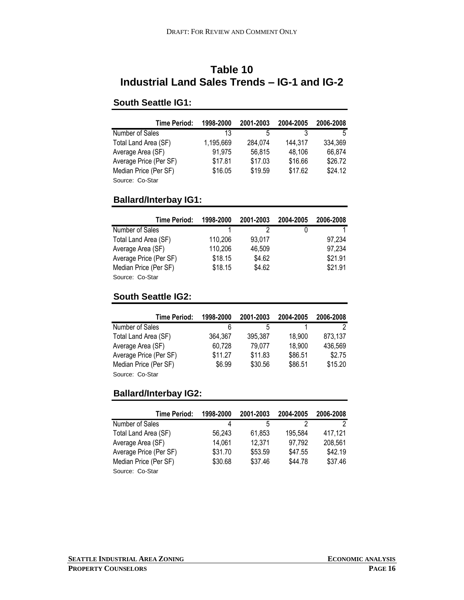### **Table 10 Industrial Land Sales Trends – IG-1 and IG-2**

#### **South Seattle IG1:**

| <b>Time Period:</b>    | 1998-2000 | 2001-2003 | 2004-2005 | 2006-2008 |
|------------------------|-----------|-----------|-----------|-----------|
| Number of Sales        | 13        | 5         |           | 5         |
| Total Land Area (SF)   | 1,195,669 | 284.074   | 144.317   | 334,369   |
| Average Area (SF)      | 91,975    | 56,815    | 48,106    | 66,874    |
| Average Price (Per SF) | \$17.81   | \$17.03   | \$16.66   | \$26.72   |
| Median Price (Per SF)  | \$16.05   | \$19.59   | \$17.62   | \$24.12   |
| Source: Co-Star        |           |           |           |           |

### **Ballard/Interbay IG1:**

| Time Period:           | 1998-2000 | 2001-2003 | 2004-2005 | 2006-2008 |
|------------------------|-----------|-----------|-----------|-----------|
| Number of Sales        |           |           |           |           |
| Total Land Area (SF)   | 110.206   | 93.017    |           | 97.234    |
| Average Area (SF)      | 110,206   | 46.509    |           | 97,234    |
| Average Price (Per SF) | \$18.15   | \$4.62    |           | \$21.91   |
| Median Price (Per SF)  | \$18.15   | \$4.62    |           | \$21.91   |
| Source: Co-Star        |           |           |           |           |

#### **South Seattle IG2:**

| <b>Time Period:</b>    | 1998-2000 | 2001-2003 | 2004-2005 | 2006-2008 |
|------------------------|-----------|-----------|-----------|-----------|
| Number of Sales        | 6         | 5         |           |           |
| Total Land Area (SF)   | 364.367   | 395.387   | 18,900    | 873,137   |
| Average Area (SF)      | 60,728    | 79,077    | 18,900    | 436,569   |
| Average Price (Per SF) | \$11.27   | \$11.83   | \$86.51   | \$2.75    |
| Median Price (Per SF)  | \$6.99    | \$30.56   | \$86.51   | \$15.20   |
| Source: Co-Star        |           |           |           |           |

#### **Ballard/Interbay IG2:**

| <b>Time Period:</b>    | 1998-2000 | 2001-2003 | 2004-2005 | 2006-2008 |
|------------------------|-----------|-----------|-----------|-----------|
| Number of Sales        | 4         | 5         | っ         |           |
| Total Land Area (SF)   | 56.243    | 61.853    | 195,584   | 417.121   |
| Average Area (SF)      | 14.061    | 12,371    | 97,792    | 208,561   |
| Average Price (Per SF) | \$31.70   | \$53.59   | \$47.55   | \$42.19   |
| Median Price (Per SF)  | \$30.68   | \$37.46   | \$44.78   | \$37.46   |
| Source: Co-Star        |           |           |           |           |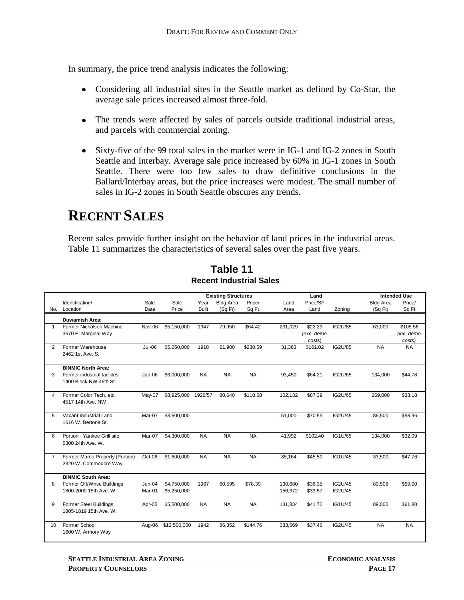In summary, the price trend analysis indicates the following:

- Considering all industrial sites in the Seattle market as defined by Co-Star, the average sale prices increased almost three-fold.
- The trends were affected by sales of parcels outside traditional industrial areas, and parcels with commercial zoning.
- Sixty-five of the 99 total sales in the market were in IG-1 and IG-2 zones in South Seattle and Interbay. Average sale price increased by 60% in IG-1 zones in South Seattle. There were too few sales to draw definitive conclusions in the Ballard/Interbay areas, but the price increases were modest. The small number of sales in IG-2 zones in South Seattle obscures any trends.

## <span id="page-16-0"></span>**RECENT SALES**

Recent sales provide further insight on the behavior of land prices in the industrial areas. Table 11 summarizes the characteristics of several sales over the past five years.

|                |                                 |               |              |              | <b>Existing Structures</b> |           |         | Land       |         |                  | <b>Intended Use</b> |
|----------------|---------------------------------|---------------|--------------|--------------|----------------------------|-----------|---------|------------|---------|------------------|---------------------|
|                | Identification/                 | Sale          | Sale         | Year         | <b>Bldg Area</b>           | Price/    | Land    | Price/SF   |         | <b>Bldg Area</b> | Price/              |
| No.            | Location                        | Date          | Price        | <b>Built</b> | (SqFt)                     | Sq Ft     | Area    | Land       | Zoning  | (SqFt)           | Sq Ft               |
|                | <b>Duwamish Area:</b>           |               |              |              |                            |           |         |            |         |                  |                     |
| 1              | Former Nicholson Machine        | Nov-06        | \$5,150,000  | 1947         | 79,950                     | \$64.42   | 231,029 | \$22.29    | IG2U/85 | 63,000           | \$105.56            |
|                | 3670 E. Marginal Way            |               |              |              |                            |           |         | (exc. demo |         |                  | (inc. demo          |
|                |                                 |               |              |              |                            |           |         | costs)     |         |                  | costs)              |
| 2              | Former Warehouse                | Jul-06        | \$5,050,000  | 1918         | 21,900                     | \$230.59  | 31.363  | \$161.02   | IG2U/85 | <b>NA</b>        | <b>NA</b>           |
|                | 2462 1st Ave. S.                |               |              |              |                            |           |         |            |         |                  |                     |
|                | <b>BINMIC North Area:</b>       |               |              |              |                            |           |         |            |         |                  |                     |
| 3              | Former industrial facilites     | Jan-06        | \$6,000,000  | <b>NA</b>    | <b>NA</b>                  | <b>NA</b> | 93,450  | \$64.21    | IG2U/65 | 134,000          | \$44.78             |
|                | 1400 Block NW 46th St.          |               |              |              |                            |           |         |            |         |                  |                     |
|                |                                 |               |              |              |                            |           |         |            |         |                  |                     |
| 4              | Former Color Tech, etc.         | May-07        | \$8,925,000  | 1926/57      | 80,640                     | \$110.68  | 102,132 | \$87.39    | IG2U/65 | 269,000          | \$33.18             |
|                | 4517 14th Ave. NW               |               |              |              |                            |           |         |            |         |                  |                     |
|                |                                 |               |              |              |                            |           |         |            |         |                  |                     |
| 5              | Vacant Industrial Land          | Mar-07        | \$3,600,000  |              |                            |           | 51.000  | \$70.59    | IG2U/45 | 86,500           | \$58.96             |
|                | 1616 W. Bertona St.             |               |              |              |                            |           |         |            |         |                  |                     |
|                |                                 |               |              |              |                            |           |         |            |         |                  |                     |
| 6              | Portion - Yankee Grill site     | Mar-07        | \$4,300,000  | <b>NA</b>    | <b>NA</b>                  | <b>NA</b> | 41,992  | \$102.40   | IG1U/65 | 134,000          | \$32.09             |
|                | 5300 24th Ave. W.               |               |              |              |                            |           |         |            |         |                  |                     |
| $\overline{7}$ | Former Marco Property (Portion) | Oct-06        | \$1,600,000  | <b>NA</b>    | <b>NA</b>                  | <b>NA</b> | 35,164  | \$45.50    | IG1U/45 | 33,500           | \$47.76             |
|                | 2320 W. Commodore Way           |               |              |              |                            |           |         |            |         |                  |                     |
|                |                                 |               |              |              |                            |           |         |            |         |                  |                     |
|                | <b>BINMIC South Area:</b>       |               |              |              |                            |           |         |            |         |                  |                     |
| 8              | Former Off/Whse Buildings       | <b>Jun-04</b> | \$4,750,000  | 1967         | 60,595                     | \$78.39   | 130,680 | \$36.35    | IG2U/45 | 80,508           | \$59.00             |
|                | 1800-2000 15th Ave. W.          | Mar-01        | \$5,250,000  |              |                            |           | 156,372 | \$33.57    | IG2U/45 |                  |                     |
| 9              | Former Steel Buildings          | Apr-05        | \$5,500,000  | <b>NA</b>    | <b>NA</b>                  | <b>NA</b> | 131,834 | \$41.72    | IG1U/45 | 89.000           | \$61.80             |
|                | 1805-1819 15th Ave. W.          |               |              |              |                            |           |         |            |         |                  |                     |
|                |                                 |               |              |              |                            |           |         |            |         |                  |                     |
| 10             | Former School                   | Aug-06        | \$12,500,000 | 1942         | 86,352                     | \$144.76  | 333,669 | \$37.46    | IG2U/45 | <b>NA</b>        | <b>NA</b>           |
|                | 1600 W. Armory Way              |               |              |              |                            |           |         |            |         |                  |                     |
|                |                                 |               |              |              |                            |           |         |            |         |                  |                     |

**Recent Industrial Sales Table 11**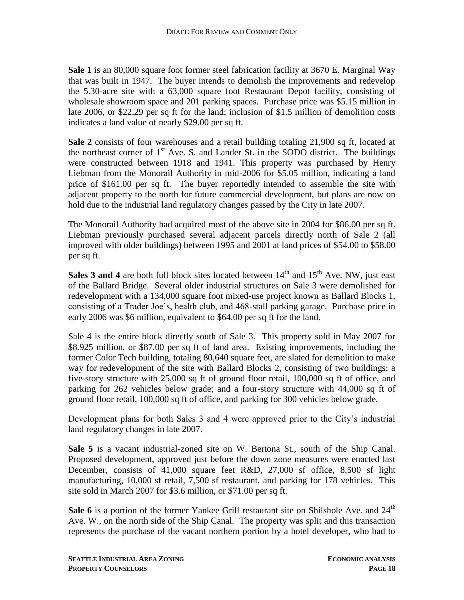**Sale 1** is an 80,000 square foot former steel fabrication facility at 3670 E. Marginal Way that was built in 1947. The buyer intends to demolish the improvements and redevelop the 5.30-acre site with a 63,000 square foot Restaurant Depot facility, consisting of wholesale showroom space and 201 parking spaces. Purchase price was \$5.15 million in late 2006, or \$22.29 per sq ft for the land; inclusion of \$1.5 million of demolition costs indicates a land value of nearly \$29.00 per sq ft.

**Sale 2** consists of four warehouses and a retail building totaling 21,900 sq ft, located at the northeast corner of  $1<sup>st</sup>$  Ave. S. and Lander St. in the SODO district. The buildings were constructed between 1918 and 1941. This property was purchased by Henry Liebman from the Monorail Authority in mid-2006 for \$5.05 million, indicating a land price of \$161.00 per sq ft. The buyer reportedly intended to assemble the site with adjacent property to the north for future commercial development, but plans are now on hold due to the industrial land regulatory changes passed by the City in late 2007.

The Monorail Authority had acquired most of the above site in 2004 for \$86.00 per sq ft. Liebman previously purchased several adjacent parcels directly north of Sale 2 (all improved with older buildings) between 1995 and 2001 at land prices of \$54.00 to \$58.00 per sq ft.

**Sales 3 and 4** are both full block sites located between  $14<sup>th</sup>$  and  $15<sup>th</sup>$  Ave. NW, just east of the Ballard Bridge. Several older industrial structures on Sale 3 were demolished for redevelopment with a 134,000 square foot mixed-use project known as Ballard Blocks 1, consisting of a Trader Joe's, health club, and 468-stall parking garage. Purchase price in early 2006 was \$6 million, equivalent to \$64.00 per sq ft for the land.

Sale 4 is the entire block directly south of Sale 3. This property sold in May 2007 for \$8.925 million, or \$87.00 per sq ft of land area. Existing improvements, including the former Color Tech building, totaling 80,640 square feet, are slated for demolition to make way for redevelopment of the site with Ballard Blocks 2, consisting of two buildings: a five-story structure with 25,000 sq ft of ground floor retail, 100,000 sq ft of office, and parking for 262 vehicles below grade; and a four-story structure with 44,000 sq ft of ground floor retail, 100,000 sq ft of office, and parking for 300 vehicles below grade.

Development plans for both Sales 3 and 4 were approved prior to the City's industrial land regulatory changes in late 2007.

**Sale 5** is a vacant industrial-zoned site on W. Bertona St., south of the Ship Canal. Proposed development, approved just before the down zone measures were enacted last December, consists of 41,000 square feet R&D, 27,000 sf office, 8,500 sf light manufacturing, 10,000 sf retail, 7,500 sf restaurant, and parking for 178 vehicles. This site sold in March 2007 for \$3.6 million, or \$71.00 per sq ft.

Sale 6 is a portion of the former Yankee Grill restaurant site on Shilshole Ave. and 24<sup>th</sup> Ave. W., on the north side of the Ship Canal. The property was split and this transaction represents the purchase of the vacant northern portion by a hotel developer, who had to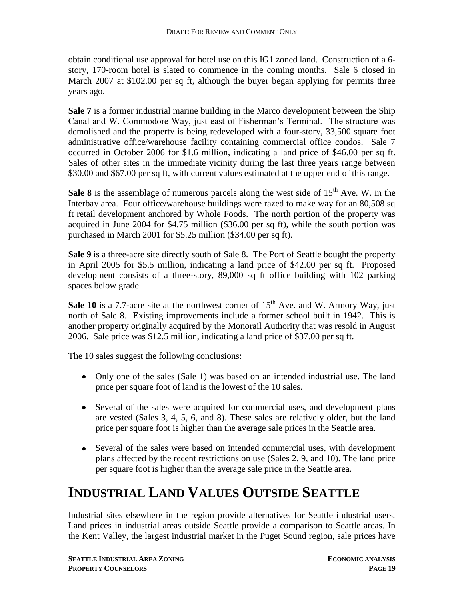obtain conditional use approval for hotel use on this IG1 zoned land. Construction of a 6 story, 170-room hotel is slated to commence in the coming months. Sale 6 closed in March 2007 at \$102.00 per sq ft, although the buyer began applying for permits three years ago.

**Sale 7** is a former industrial marine building in the Marco development between the Ship Canal and W. Commodore Way, just east of Fisherman's Terminal. The structure was demolished and the property is being redeveloped with a four-story, 33,500 square foot administrative office/warehouse facility containing commercial office condos. Sale 7 occurred in October 2006 for \$1.6 million, indicating a land price of \$46.00 per sq ft. Sales of other sites in the immediate vicinity during the last three years range between \$30.00 and \$67.00 per sq ft, with current values estimated at the upper end of this range.

**Sale 8** is the assemblage of numerous parcels along the west side of  $15<sup>th</sup>$  Ave. W. in the Interbay area. Four office/warehouse buildings were razed to make way for an 80,508 sq ft retail development anchored by Whole Foods. The north portion of the property was acquired in June 2004 for \$4.75 million (\$36.00 per sq ft), while the south portion was purchased in March 2001 for \$5.25 million (\$34.00 per sq ft).

**Sale 9** is a three-acre site directly south of Sale 8. The Port of Seattle bought the property in April 2005 for \$5.5 million, indicating a land price of \$42.00 per sq ft. Proposed development consists of a three-story, 89,000 sq ft office building with 102 parking spaces below grade.

**Sale 10** is a 7.7-acre site at the northwest corner of  $15<sup>th</sup>$  Ave. and W. Armory Way, just north of Sale 8. Existing improvements include a former school built in 1942. This is another property originally acquired by the Monorail Authority that was resold in August 2006. Sale price was \$12.5 million, indicating a land price of \$37.00 per sq ft.

The 10 sales suggest the following conclusions:

- Only one of the sales (Sale 1) was based on an intended industrial use. The land price per square foot of land is the lowest of the 10 sales.
- Several of the sales were acquired for commercial uses, and development plans are vested (Sales 3, 4, 5, 6, and 8). These sales are relatively older, but the land price per square foot is higher than the average sale prices in the Seattle area.
- Several of the sales were based on intended commercial uses, with development plans affected by the recent restrictions on use (Sales 2, 9, and 10). The land price per square foot is higher than the average sale price in the Seattle area.

## <span id="page-18-0"></span>**INDUSTRIAL LAND VALUES OUTSIDE SEATTLE**

Industrial sites elsewhere in the region provide alternatives for Seattle industrial users. Land prices in industrial areas outside Seattle provide a comparison to Seattle areas. In the Kent Valley, the largest industrial market in the Puget Sound region, sale prices have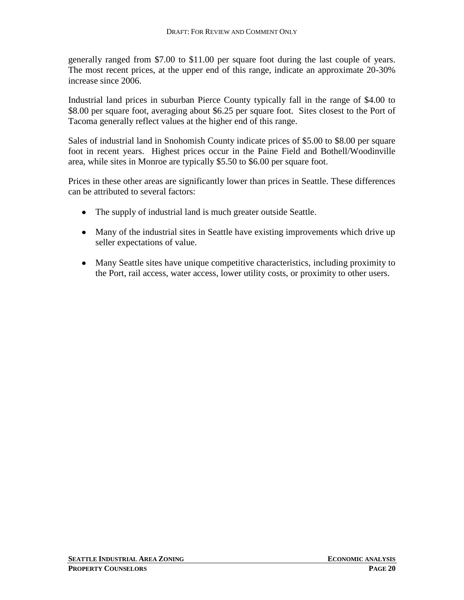generally ranged from \$7.00 to \$11.00 per square foot during the last couple of years. The most recent prices, at the upper end of this range, indicate an approximate 20-30% increase since 2006.

Industrial land prices in suburban Pierce County typically fall in the range of \$4.00 to \$8.00 per square foot, averaging about \$6.25 per square foot. Sites closest to the Port of Tacoma generally reflect values at the higher end of this range.

Sales of industrial land in Snohomish County indicate prices of \$5.00 to \$8.00 per square foot in recent years. Highest prices occur in the Paine Field and Bothell/Woodinville area, while sites in Monroe are typically \$5.50 to \$6.00 per square foot.

Prices in these other areas are significantly lower than prices in Seattle. These differences can be attributed to several factors:

- The supply of industrial land is much greater outside Seattle.
- Many of the industrial sites in Seattle have existing improvements which drive up seller expectations of value.
- Many Seattle sites have unique competitive characteristics, including proximity to the Port, rail access, water access, lower utility costs, or proximity to other users.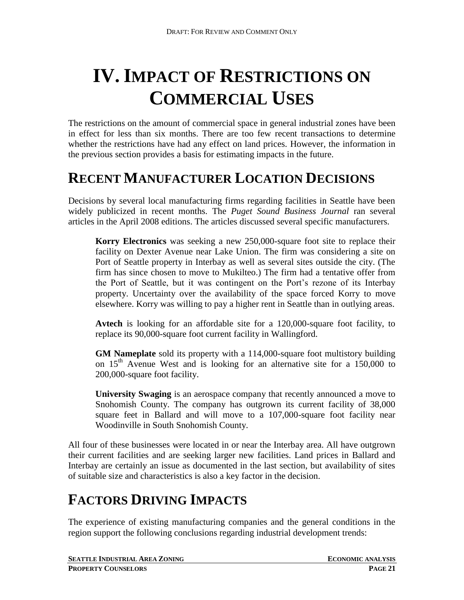# <span id="page-20-0"></span>**IV. IMPACT OF RESTRICTIONS ON COMMERCIAL USES**

The restrictions on the amount of commercial space in general industrial zones have been in effect for less than six months. There are too few recent transactions to determine whether the restrictions have had any effect on land prices. However, the information in the previous section provides a basis for estimating impacts in the future.

## <span id="page-20-1"></span>**RECENT MANUFACTURER LOCATION DECISIONS**

Decisions by several local manufacturing firms regarding facilities in Seattle have been widely publicized in recent months. The *Puget Sound Business Journal* ran several articles in the April 2008 editions. The articles discussed several specific manufacturers.

**Korry Electronics** was seeking a new 250,000-square foot site to replace their facility on Dexter Avenue near Lake Union. The firm was considering a site on Port of Seattle property in Interbay as well as several sites outside the city. (The firm has since chosen to move to Mukilteo.) The firm had a tentative offer from the Port of Seattle, but it was contingent on the Port's rezone of its Interbay property. Uncertainty over the availability of the space forced Korry to move elsewhere. Korry was willing to pay a higher rent in Seattle than in outlying areas.

**Avtech** is looking for an affordable site for a 120,000-square foot facility, to replace its 90,000-square foot current facility in Wallingford.

**GM Nameplate** sold its property with a 114,000-square foot multistory building on  $15<sup>th</sup>$  Avenue West and is looking for an alternative site for a 150,000 to 200,000-square foot facility.

**University Swaging** is an aerospace company that recently announced a move to Snohomish County. The company has outgrown its current facility of 38,000 square feet in Ballard and will move to a 107,000-square foot facility near Woodinville in South Snohomish County.

All four of these businesses were located in or near the Interbay area. All have outgrown their current facilities and are seeking larger new facilities. Land prices in Ballard and Interbay are certainly an issue as documented in the last section, but availability of sites of suitable size and characteristics is also a key factor in the decision.

## <span id="page-20-2"></span>**FACTORS DRIVING IMPACTS**

The experience of existing manufacturing companies and the general conditions in the region support the following conclusions regarding industrial development trends:

**SEATTLE INDUSTRIAL AREA ZONING ECONOMIC ANALYSIS**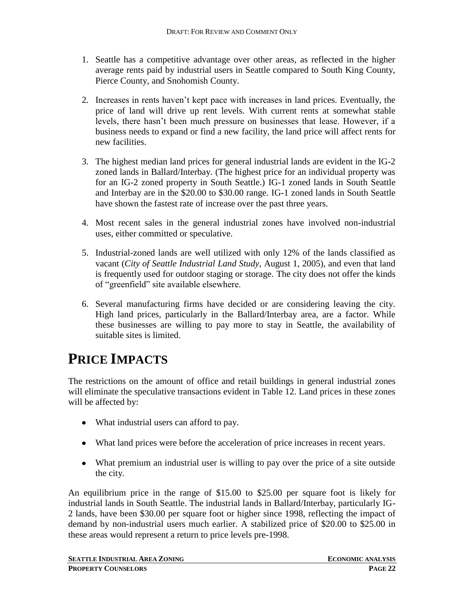- 1. Seattle has a competitive advantage over other areas, as reflected in the higher average rents paid by industrial users in Seattle compared to South King County, Pierce County, and Snohomish County.
- 2. Increases in rents haven't kept pace with increases in land prices. Eventually, the price of land will drive up rent levels. With current rents at somewhat stable levels, there hasn't been much pressure on businesses that lease. However, if a business needs to expand or find a new facility, the land price will affect rents for new facilities.
- 3. The highest median land prices for general industrial lands are evident in the IG-2 zoned lands in Ballard/Interbay. (The highest price for an individual property was for an IG-2 zoned property in South Seattle.) IG-1 zoned lands in South Seattle and Interbay are in the \$20.00 to \$30.00 range. IG-1 zoned lands in South Seattle have shown the fastest rate of increase over the past three years.
- 4. Most recent sales in the general industrial zones have involved non-industrial uses, either committed or speculative.
- 5. Industrial-zoned lands are well utilized with only 12% of the lands classified as vacant (*City of Seattle Industrial Land Study,* August 1, 2005), and even that land is frequently used for outdoor staging or storage. The city does not offer the kinds of "greenfield" site available elsewhere.
- 6. Several manufacturing firms have decided or are considering leaving the city. High land prices, particularly in the Ballard/Interbay area, are a factor. While these businesses are willing to pay more to stay in Seattle, the availability of suitable sites is limited.

## <span id="page-21-0"></span>**PRICE IMPACTS**

The restrictions on the amount of office and retail buildings in general industrial zones will eliminate the speculative transactions evident in Table 12. Land prices in these zones will be affected by:

- What industrial users can afford to pay.
- What land prices were before the acceleration of price increases in recent years.
- What premium an industrial user is willing to pay over the price of a site outside the city.

An equilibrium price in the range of \$15.00 to \$25.00 per square foot is likely for industrial lands in South Seattle. The industrial lands in Ballard/Interbay, particularly IG-2 lands, have been \$30.00 per square foot or higher since 1998, reflecting the impact of demand by non-industrial users much earlier. A stabilized price of \$20.00 to \$25.00 in these areas would represent a return to price levels pre-1998.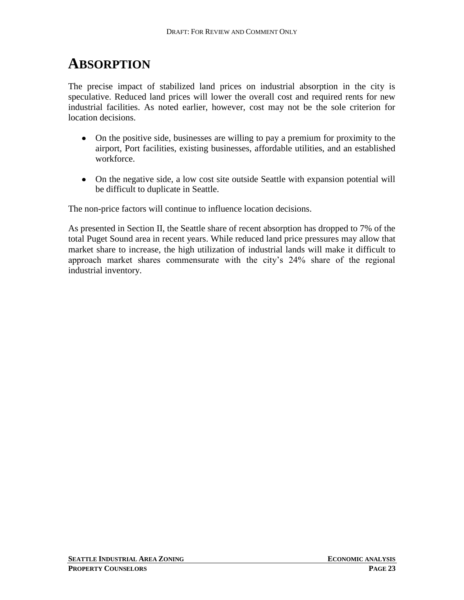## <span id="page-22-0"></span>**ABSORPTION**

The precise impact of stabilized land prices on industrial absorption in the city is speculative. Reduced land prices will lower the overall cost and required rents for new industrial facilities. As noted earlier, however, cost may not be the sole criterion for location decisions.

- On the positive side, businesses are willing to pay a premium for proximity to the airport, Port facilities, existing businesses, affordable utilities, and an established workforce.
- On the negative side, a low cost site outside Seattle with expansion potential will be difficult to duplicate in Seattle.

The non-price factors will continue to influence location decisions.

As presented in Section II, the Seattle share of recent absorption has dropped to 7% of the total Puget Sound area in recent years. While reduced land price pressures may allow that market share to increase, the high utilization of industrial lands will make it difficult to approach market shares commensurate with the city's 24% share of the regional industrial inventory.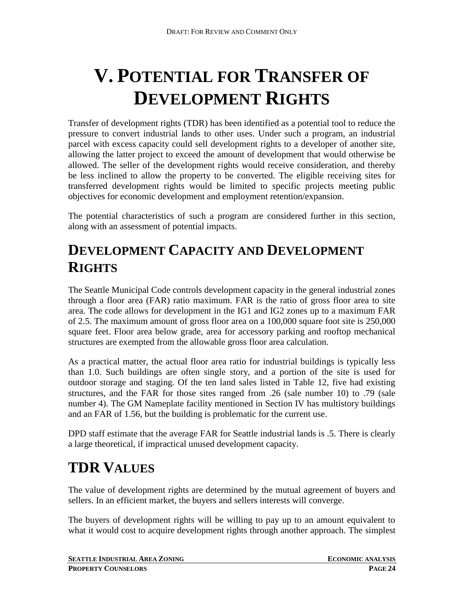# <span id="page-23-0"></span>**V. POTENTIAL FOR TRANSFER OF DEVELOPMENT RIGHTS**

Transfer of development rights (TDR) has been identified as a potential tool to reduce the pressure to convert industrial lands to other uses. Under such a program, an industrial parcel with excess capacity could sell development rights to a developer of another site, allowing the latter project to exceed the amount of development that would otherwise be allowed. The seller of the development rights would receive consideration, and thereby be less inclined to allow the property to be converted. The eligible receiving sites for transferred development rights would be limited to specific projects meeting public objectives for economic development and employment retention/expansion.

The potential characteristics of such a program are considered further in this section, along with an assessment of potential impacts.

## <span id="page-23-1"></span>**DEVELOPMENT CAPACITY AND DEVELOPMENT RIGHTS**

The Seattle Municipal Code controls development capacity in the general industrial zones through a floor area (FAR) ratio maximum. FAR is the ratio of gross floor area to site area. The code allows for development in the IG1 and IG2 zones up to a maximum FAR of 2.5. The maximum amount of gross floor area on a 100,000 square foot site is 250,000 square feet. Floor area below grade, area for accessory parking and rooftop mechanical structures are exempted from the allowable gross floor area calculation.

As a practical matter, the actual floor area ratio for industrial buildings is typically less than 1.0. Such buildings are often single story, and a portion of the site is used for outdoor storage and staging. Of the ten land sales listed in Table 12, five had existing structures, and the FAR for those sites ranged from .26 (sale number 10) to .79 (sale number 4). The GM Nameplate facility mentioned in Section IV has multistory buildings and an FAR of 1.56, but the building is problematic for the current use.

DPD staff estimate that the average FAR for Seattle industrial lands is .5. There is clearly a large theoretical, if impractical unused development capacity.

## <span id="page-23-2"></span>**TDR VALUES**

The value of development rights are determined by the mutual agreement of buyers and sellers. In an efficient market, the buyers and sellers interests will converge.

The buyers of development rights will be willing to pay up to an amount equivalent to what it would cost to acquire development rights through another approach. The simplest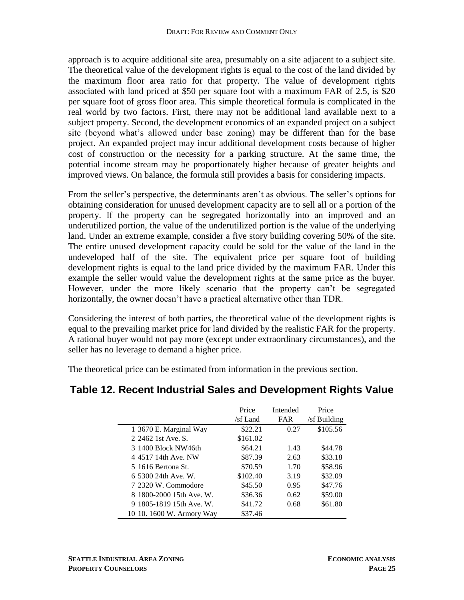approach is to acquire additional site area, presumably on a site adjacent to a subject site. The theoretical value of the development rights is equal to the cost of the land divided by the maximum floor area ratio for that property. The value of development rights associated with land priced at \$50 per square foot with a maximum FAR of 2.5, is \$20 per square foot of gross floor area. This simple theoretical formula is complicated in the real world by two factors. First, there may not be additional land available next to a subject property. Second, the development economics of an expanded project on a subject site (beyond what's allowed under base zoning) may be different than for the base project. An expanded project may incur additional development costs because of higher cost of construction or the necessity for a parking structure. At the same time, the potential income stream may be proportionately higher because of greater heights and improved views. On balance, the formula still provides a basis for considering impacts.

From the seller's perspective, the determinants aren't as obvious. The seller's options for obtaining consideration for unused development capacity are to sell all or a portion of the property. If the property can be segregated horizontally into an improved and an underutilized portion, the value of the underutilized portion is the value of the underlying land. Under an extreme example, consider a five story building covering 50% of the site. The entire unused development capacity could be sold for the value of the land in the undeveloped half of the site. The equivalent price per square foot of building development rights is equal to the land price divided by the maximum FAR. Under this example the seller would value the development rights at the same price as the buyer. However, under the more likely scenario that the property can't be segregated horizontally, the owner doesn't have a practical alternative other than TDR.

Considering the interest of both parties, the theoretical value of the development rights is equal to the prevailing market price for land divided by the realistic FAR for the property. A rational buyer would not pay more (except under extraordinary circumstances), and the seller has no leverage to demand a higher price.

The theoretical price can be estimated from information in the previous section.

#### **Table 12. Recent Industrial Sales and Development Rights Value**

|                           | Price    | Intended   | Price        |
|---------------------------|----------|------------|--------------|
|                           | /sf Land | <b>FAR</b> | /sf Building |
| 1 3670 E. Marginal Way    | \$22.21  | 0.27       | \$105.56     |
| 2.2462.1st Ave. S.        | \$161.02 |            |              |
| 3 1400 Block NW46th       | \$64.21  | 1.43       | \$44.78      |
| 4 4517 14th Ave. NW       | \$87.39  | 2.63       | \$33.18      |
| 5 1616 Bertona St.        | \$70.59  | 1.70       | \$58.96      |
| 6 5300 24th Ave. W.       | \$102.40 | 3.19       | \$32.09      |
| 7 2320 W. Commodore       | \$45.50  | 0.95       | \$47.76      |
| 8 1800-2000 15th Ave. W.  | \$36.36  | 0.62       | \$59.00      |
| 9 1805-1819 15th Ave. W.  | \$41.72  | 0.68       | \$61.80      |
| 10 10. 1600 W. Armory Way | \$37.46  |            |              |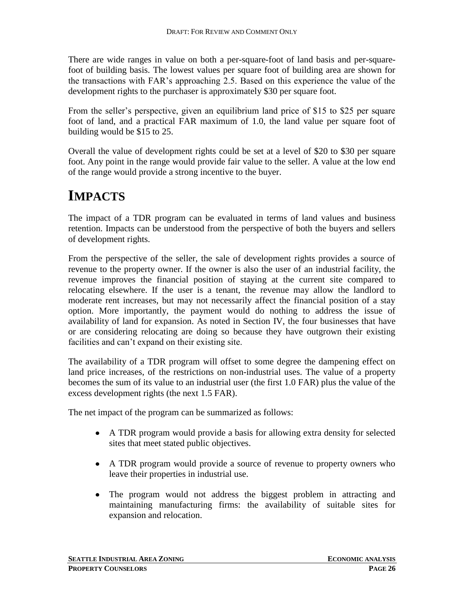There are wide ranges in value on both a per-square-foot of land basis and per-squarefoot of building basis. The lowest values per square foot of building area are shown for the transactions with FAR's approaching 2.5. Based on this experience the value of the development rights to the purchaser is approximately \$30 per square foot.

From the seller's perspective, given an equilibrium land price of \$15 to \$25 per square foot of land, and a practical FAR maximum of 1.0, the land value per square foot of building would be \$15 to 25.

Overall the value of development rights could be set at a level of \$20 to \$30 per square foot. Any point in the range would provide fair value to the seller. A value at the low end of the range would provide a strong incentive to the buyer.

## <span id="page-25-0"></span>**IMPACTS**

The impact of a TDR program can be evaluated in terms of land values and business retention. Impacts can be understood from the perspective of both the buyers and sellers of development rights.

From the perspective of the seller, the sale of development rights provides a source of revenue to the property owner. If the owner is also the user of an industrial facility, the revenue improves the financial position of staying at the current site compared to relocating elsewhere. If the user is a tenant, the revenue may allow the landlord to moderate rent increases, but may not necessarily affect the financial position of a stay option. More importantly, the payment would do nothing to address the issue of availability of land for expansion. As noted in Section IV, the four businesses that have or are considering relocating are doing so because they have outgrown their existing facilities and can't expand on their existing site.

The availability of a TDR program will offset to some degree the dampening effect on land price increases, of the restrictions on non-industrial uses. The value of a property becomes the sum of its value to an industrial user (the first 1.0 FAR) plus the value of the excess development rights (the next 1.5 FAR).

The net impact of the program can be summarized as follows:

- A TDR program would provide a basis for allowing extra density for selected sites that meet stated public objectives.
- A TDR program would provide a source of revenue to property owners who leave their properties in industrial use.
- $\bullet$ The program would not address the biggest problem in attracting and maintaining manufacturing firms: the availability of suitable sites for expansion and relocation.